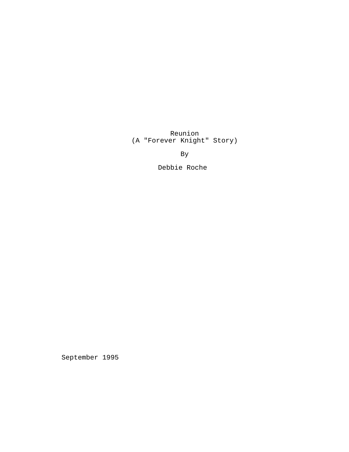Reunion (A "Forever Knight" Story)

By

Debbie Roche

September 1995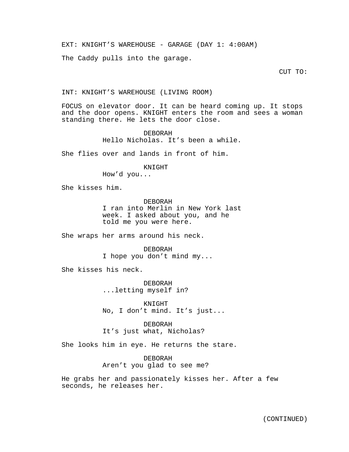EXT: KNIGHT'S WAREHOUSE - GARAGE (DAY 1: 4:00AM)

The Caddy pulls into the garage.

CUT TO:

## INT: KNIGHT'S WAREHOUSE (LIVING ROOM)

FOCUS on elevator door. It can be heard coming up. It stops and the door opens. KNIGHT enters the room and sees a woman standing there. He lets the door close.

> DEBORAH Hello Nicholas. It's been a while.

She flies over and lands in front of him.

KNIGHT

How'd you...

She kisses him.

DEBORAH I ran into Merlin in New York last week. I asked about you, and he told me you were here.

She wraps her arms around his neck.

DEBORAH I hope you don't mind my...

She kisses his neck.

DEBORAH ...letting myself in?

KNIGHT No, I don't mind. It's just...

DEBORAH It's just what, Nicholas?

She looks him in eye. He returns the stare.

DEBORAH Aren't you glad to see me?

He grabs her and passionately kisses her. After a few seconds, he releases her.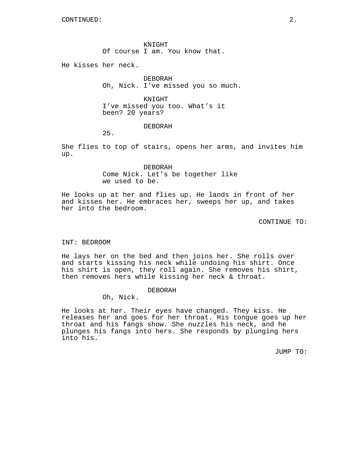KNIGHT Of course I am. You know that.

He kisses her neck.

DEBORAH Oh, Nick. I've missed you so much.

KNIGHT I've missed you too. What's it been? 20 years?

DEBORAH

25.

She flies to top of stairs, opens her arms, and invites him up.

> DEBORAH Come Nick. Let's be together like we used to be.

He looks up at her and flies up. He lands in front of her and kisses her. He embraces her, sweeps her up, and takes her into the bedroom.

CONTINUE TO:

#### INT: BEDROOM

He lays her on the bed and then joins her. She rolls over and starts kissing his neck while undoing his shirt. Once his shirt is open, they roll again. She removes his shirt, then removes hers while kissing her neck & throat.

#### DEBORAH

Oh, Nick.

He looks at her. Their eyes have changed. They kiss. He releases her and goes for her throat. His tongue goes up her throat and his fangs show. She nuzzles his neck, and he plunges his fangs into hers. She responds by plunging hers into his.

JUMP TO: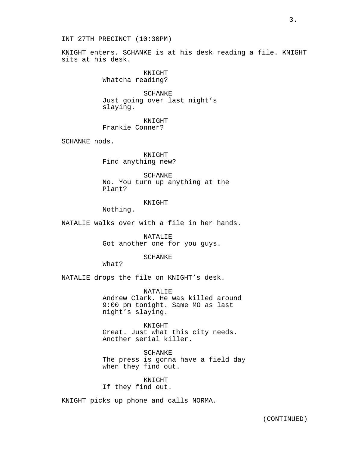KNIGHT enters. SCHANKE is at his desk reading a file. KNIGHT sits at his desk.

> KNIGHT Whatcha reading?

SCHANKE Just going over last night's slaying.

**KNIGHT** Frankie Conner?

SCHANKE nods.

KNIGHT Find anything new?

SCHANKE No. You turn up anything at the Plant?

#### KNIGHT

Nothing.

NATALIE walks over with a file in her hands.

NATALIE Got another one for you guys.

## SCHANKE

What?

NATALIE drops the file on KNIGHT's desk.

NATALIE Andrew Clark. He was killed around 9:00 pm tonight. Same MO as last night's slaying.

KNIGHT Great. Just what this city needs. Another serial killer.

SCHANKE The press is gonna have a field day when they find out.

KNIGHT If they find out.

KNIGHT picks up phone and calls NORMA.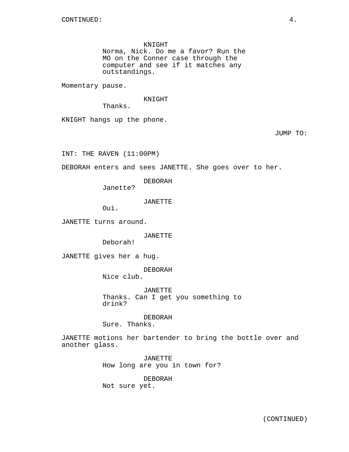KNIGHT

Norma, Nick. Do me a favor? Run the MO on the Conner case through the computer and see if it matches any outstandings.

Momentary pause.

KNIGHT

Thanks.

KNIGHT hangs up the phone.

JUMP TO:

INT: THE RAVEN (11:00PM)

DEBORAH enters and sees JANETTE. She goes over to her.

DEBORAH

Janette?

JANETTE

Oui.

JANETTE turns around.

JANETTE

Deborah!

JANETTE gives her a hug.

DEBORAH

Nice club.

JANETTE Thanks. Can I get you something to drink?

DEBORAH Sure. Thanks.

JANETTE motions her bartender to bring the bottle over and another glass.

> JANETTE How long are you in town for?

DEBORAH Not sure yet.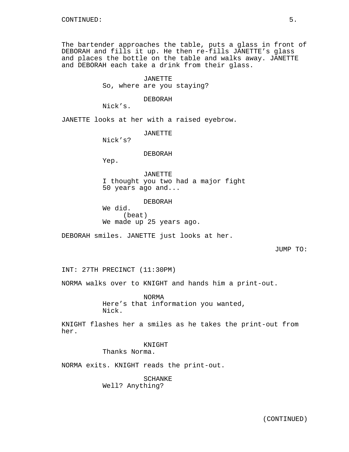The bartender approaches the table, puts a glass in front of DEBORAH and fills it up. He then re-fills JANETTE's glass and places the bottle on the table and walks away. JANETTE and DEBORAH each take a drink from their glass.

> JANETTE So, where are you staying?

> > DEBORAH

Nick's.

JANETTE looks at her with a raised eyebrow.

JANETTE

Nick's?

## DEBORAH

Yep.

JANETTE I thought you two had a major fight 50 years ago and...

DEBORAH We did. (beat) We made up 25 years ago.

DEBORAH smiles. JANETTE just looks at her.

#### JUMP TO:

INT: 27TH PRECINCT (11:30PM)

NORMA walks over to KNIGHT and hands him a print-out.

NORMA Here's that information you wanted, Nick.

KNIGHT flashes her a smiles as he takes the print-out from her.

## KNIGHT Thanks Norma.

NORMA exits. KNIGHT reads the print-out.

SCHANKE Well? Anything?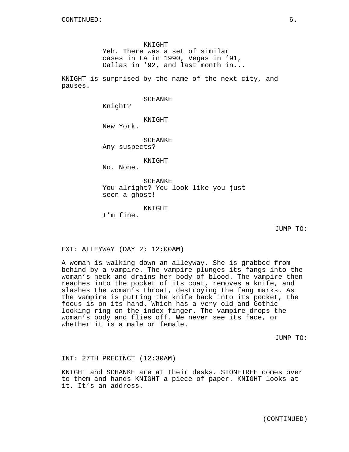KNIGHT

Yeh. There was a set of similar cases in LA in 1990, Vegas in '91, Dallas in '92, and last month in...

KNIGHT is surprised by the name of the next city, and pauses.

SCHANKE

Knight?

KNIGHT

New York.

SCHANKE Any suspects?

KNIGHT

No. None.

SCHANKE You alright? You look like you just seen a ghost!

KNIGHT

I'm fine.

JUMP TO:

EXT: ALLEYWAY (DAY 2: 12:00AM)

A woman is walking down an alleyway. She is grabbed from behind by a vampire. The vampire plunges its fangs into the woman's neck and drains her body of blood. The vampire then reaches into the pocket of its coat, removes a knife, and slashes the woman's throat, destroying the fang marks. As the vampire is putting the knife back into its pocket, the focus is on its hand. Which has a very old and Gothic looking ring on the index finger. The vampire drops the woman's body and flies off. We never see its face, or whether it is a male or female.

JUMP TO:

INT: 27TH PRECINCT (12:30AM)

KNIGHT and SCHANKE are at their desks. STONETREE comes over to them and hands KNIGHT a piece of paper. KNIGHT looks at it. It's an address.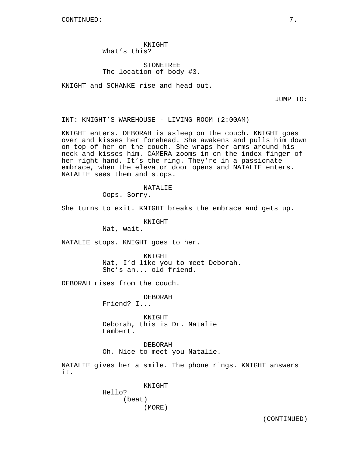CONTINUED: 7.

KNIGHT What's this?

# STONETREE The location of body #3.

KNIGHT and SCHANKE rise and head out.

JUMP TO:

INT: KNIGHT'S WAREHOUSE - LIVING ROOM (2:00AM)

KNIGHT enters. DEBORAH is asleep on the couch. KNIGHT goes over and kisses her forehead. She awakens and pulls him down on top of her on the couch. She wraps her arms around his neck and kisses him. CAMERA zooms in on the index finger of her right hand. It's the ring. They're in a passionate embrace, when the elevator door opens and NATALIE enters. NATALIE sees them and stops.

> NATALIE Oops. Sorry.

She turns to exit. KNIGHT breaks the embrace and gets up.

KNIGHT

Nat, wait.

NATALIE stops. KNIGHT goes to her.

KNIGHT Nat, I'd like you to meet Deborah. She's an... old friend.

DEBORAH rises from the couch.

DEBORAH Friend? I...

KNIGHT Deborah, this is Dr. Natalie Lambert.

DEBORAH Oh. Nice to meet you Natalie.

NATALIE gives her a smile. The phone rings. KNIGHT answers it.

> KNIGHT Hello? (beat) (MORE)

> > (CONTINUED)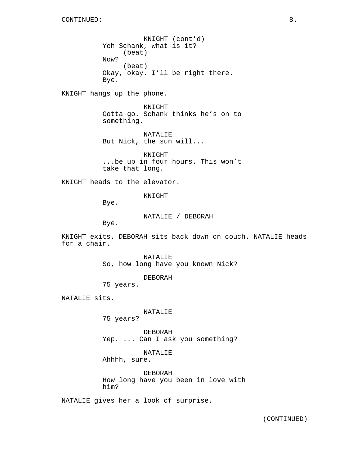KNIGHT (cont'd) Yeh Schank, what is it? (beat) Now? (beat) Okay, okay. I'll be right there. Bye.

KNIGHT hangs up the phone.

KNIGHT Gotta go. Schank thinks he's on to something.

NATALIE But Nick, the sun will...

KNIGHT ...be up in four hours. This won't take that long.

KNIGHT heads to the elevator.

KNIGHT

Bye.

NATALIE / DEBORAH

Bye.

KNIGHT exits. DEBORAH sits back down on couch. NATALIE heads for a chair.

> NATALIE So, how long have you known Nick?

> > DEBORAH

75 years.

NATALIE sits.

NATALIE

75 years?

DEBORAH Yep. ... Can I ask you something?

NATALIE

Ahhhh, sure.

DEBORAH How long have you been in love with him?

NATALIE gives her a look of surprise.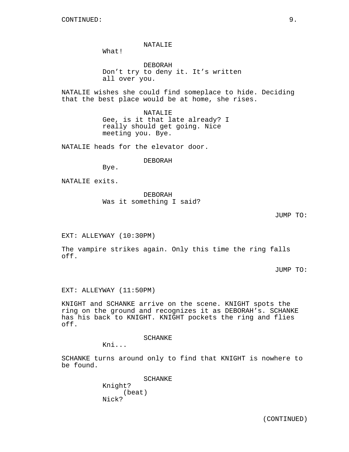NATALIE

What!

DEBORAH Don't try to deny it. It's written all over you.

NATALIE wishes she could find someplace to hide. Deciding that the best place would be at home, she rises.

> NATALIE Gee, is it that late already? I really should get going. Nice meeting you. Bye.

NATALIE heads for the elevator door.

DEBORAH

Bye.

NATALIE exits.

DEBORAH Was it something I said?

JUMP TO:

EXT: ALLEYWAY (10:30PM)

The vampire strikes again. Only this time the ring falls off.

JUMP TO:

EXT: ALLEYWAY (11:50PM)

KNIGHT and SCHANKE arrive on the scene. KNIGHT spots the ring on the ground and recognizes it as DEBORAH's. SCHANKE has his back to KNIGHT. KNIGHT pockets the ring and flies off.

SCHANKE

Kni...

SCHANKE turns around only to find that KNIGHT is nowhere to be found.

> SCHANKE Knight? (beat) Nick?

(CONTINUED)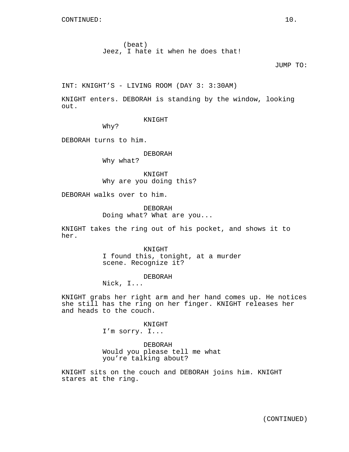(beat) Jeez, I hate it when he does that!

# JUMP TO:

INT: KNIGHT'S - LIVING ROOM (DAY 3: 3:30AM)

KNIGHT enters. DEBORAH is standing by the window, looking out.

KNIGHT

Why?

DEBORAH turns to him.

DEBORAH Why what?

KNIGHT Why are you doing this?

DEBORAH walks over to him.

DEBORAH Doing what? What are you...

KNIGHT takes the ring out of his pocket, and shows it to her.

> **KNIGHT** I found this, tonight, at a murder scene. Recognize it?

> > DEBORAH

Nick, I...

KNIGHT grabs her right arm and her hand comes up. He notices she still has the ring on her finger. KNIGHT releases her and heads to the couch.

> KNIGHT I'm sorry. I...

DEBORAH Would you please tell me what you're talking about?

KNIGHT sits on the couch and DEBORAH joins him. KNIGHT stares at the ring.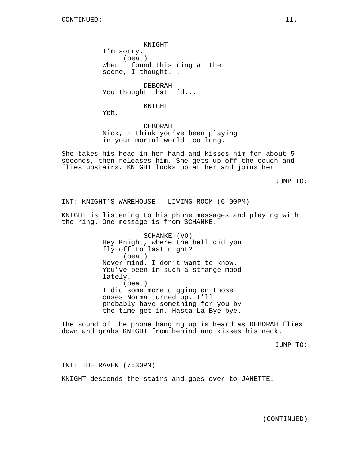KNIGHT I'm sorry. (beat) When I found this ring at the scene, I thought...

DEBORAH You thought that I'd...

### KNIGHT

Yeh.

DEBORAH Nick, I think you've been playing in your mortal world too long.

She takes his head in her hand and kisses him for about 5 seconds, then releases him. She gets up off the couch and flies upstairs. KNIGHT looks up at her and joins her.

JUMP TO:

INT: KNIGHT'S WAREHOUSE - LIVING ROOM (6:00PM)

KNIGHT is listening to his phone messages and playing with the ring. One message is from SCHANKE.

> SCHANKE (VO) Hey Knight, where the hell did you fly off to last night? (beat) Never mind. I don't want to know. You've been in such a strange mood lately. (beat) I did some more digging on those cases Norma turned up. I'll probably have something for you by the time get in, Hasta La Bye-bye.

The sound of the phone hanging up is heard as DEBORAH flies down and grabs KNIGHT from behind and kisses his neck.

JUMP TO:

INT: THE RAVEN (7:30PM)

KNIGHT descends the stairs and goes over to JANETTE.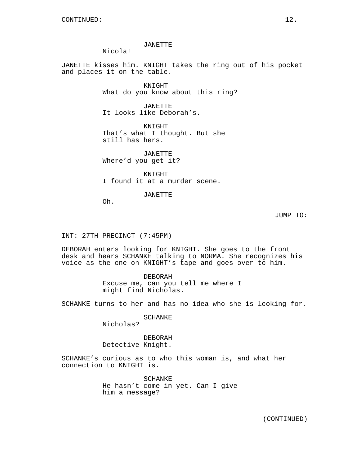JANETTE

Nicola!

JANETTE kisses him. KNIGHT takes the ring out of his pocket and places it on the table.

> KNIGHT What do you know about this ring?

JANETTE It looks like Deborah's.

KNIGHT That's what I thought. But she still has hers.

JANETTE Where'd you get it?

KNIGHT I found it at a murder scene.

JANETTE

Oh.

JUMP TO:

INT: 27TH PRECINCT (7:45PM)

DEBORAH enters looking for KNIGHT. She goes to the front desk and hears SCHANKE talking to NORMA. She recognizes his voice as the one on KNIGHT's tape and goes over to him.

> DEBORAH Excuse me, can you tell me where I might find Nicholas.

SCHANKE turns to her and has no idea who she is looking for.

SCHANKE

Nicholas?

DEBORAH Detective Knight.

SCHANKE's curious as to who this woman is, and what her connection to KNIGHT is.

> SCHANKE He hasn't come in yet. Can I give him a message?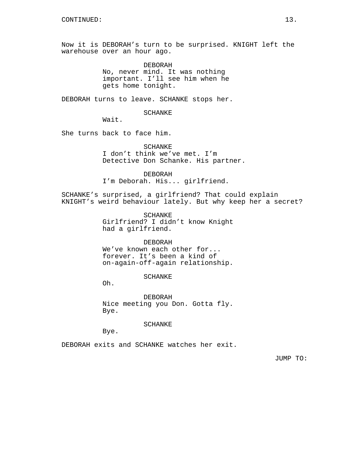Now it is DEBORAH's turn to be surprised. KNIGHT left the warehouse over an hour ago.

> DEBORAH No, never mind. It was nothing important. I'll see him when he gets home tonight.

DEBORAH turns to leave. SCHANKE stops her.

SCHANKE

Wait.

She turns back to face him.

SCHANKE I don't think we've met. I'm Detective Don Schanke. His partner.

DEBORAH I'm Deborah. His... girlfriend.

SCHANKE's surprised, a girlfriend? That could explain KNIGHT's weird behaviour lately. But why keep her a secret?

> SCHANKE Girlfriend? I didn't know Knight had a girlfriend.

> > DEBORAH

We've known each other for... forever. It's been a kind of on-again-off-again relationship.

SCHANKE

Oh.

DEBORAH Nice meeting you Don. Gotta fly. Bye.

SCHANKE

Bye.

DEBORAH exits and SCHANKE watches her exit.

JUMP TO: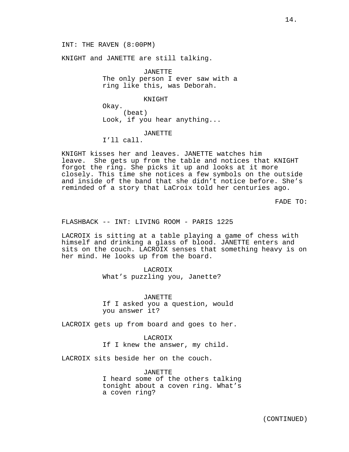KNIGHT and JANETTE are still talking.

JANETTE The only person I ever saw with a ring like this, was Deborah.

KNIGHT

Okay. (beat) Look, if you hear anything...

JANETTE

I'll call.

KNIGHT kisses her and leaves. JANETTE watches him leave. She gets up from the table and notices that KNIGHT forgot the ring. She picks it up and looks at it more closely. This time she notices a few symbols on the outside and inside of the band that she didn't notice before. She's reminded of a story that LaCroix told her centuries ago.

FADE TO:

FLASHBACK -- INT: LIVING ROOM - PARIS 1225

LACROIX is sitting at a table playing a game of chess with himself and drinking a glass of blood. JANETTE enters and sits on the couch. LACROIX senses that something heavy is on her mind. He looks up from the board.

LACROIX

What's puzzling you, Janette?

JANETTE If I asked you a question, would you answer it?

LACROIX gets up from board and goes to her.

LACROIX If I knew the answer, my child.

LACROIX sits beside her on the couch.

JANETTE I heard some of the others talking tonight about a coven ring. What's a coven ring?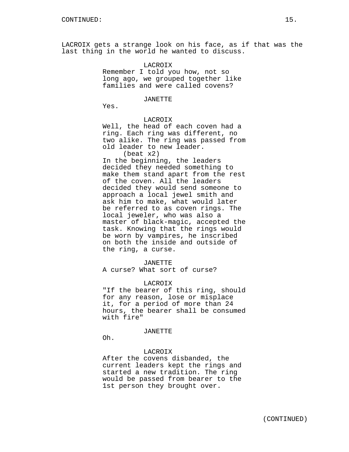LACROIX gets a strange look on his face, as if that was the last thing in the world he wanted to discuss.

# LACROIX

Remember I told you how, not so long ago, we grouped together like families and were called covens?

#### JANETTE

Yes.

## LACROIX

Well, the head of each coven had a ring. Each ring was different, no two alike. The ring was passed from old leader to new leader. (beat x2)

In the beginning, the leaders decided they needed something to make them stand apart from the rest of the coven. All the leaders decided they would send someone to approach a local jewel smith and ask him to make, what would later be referred to as coven rings. The local jeweler, who was also a master of black-magic, accepted the task. Knowing that the rings would be worn by vampires, he inscribed on both the inside and outside of the ring, a curse.

#### JANETTE

A curse? What sort of curse?

#### LACROIX

"If the bearer of this ring, should for any reason, lose or misplace it, for a period of more than 24 hours, the bearer shall be consumed with fire"

#### JANETTE

Oh.

### LACROIX

After the covens disbanded, the current leaders kept the rings and started a new tradition. The ring would be passed from bearer to the 1st person they brought over.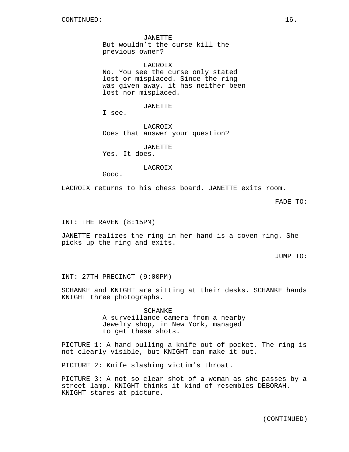JANETTE But wouldn't the curse kill the previous owner?

LACROIX No. You see the curse only stated lost or misplaced. Since the ring was given away, it has neither been lost nor misplaced.

JANETTE

I see.

LACROIX Does that answer your question?

JANETTE

Yes. It does.

LACROIX

Good.

LACROIX returns to his chess board. JANETTE exits room.

FADE TO:

INT: THE RAVEN (8:15PM)

JANETTE realizes the ring in her hand is a coven ring. She picks up the ring and exits.

JUMP TO:

INT: 27TH PRECINCT (9:00PM)

SCHANKE and KNIGHT are sitting at their desks. SCHANKE hands KNIGHT three photographs.

> SCHANKE A surveillance camera from a nearby Jewelry shop, in New York, managed to get these shots.

PICTURE 1: A hand pulling a knife out of pocket. The ring is not clearly visible, but KNIGHT can make it out.

PICTURE 2: Knife slashing victim's throat.

PICTURE 3: A not so clear shot of a woman as she passes by a street lamp. KNIGHT thinks it kind of resembles DEBORAH. KNIGHT stares at picture.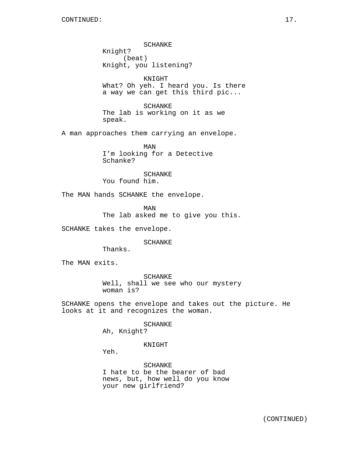SCHANKE Knight? (beat) Knight, you listening?

KNIGHT What? Oh yeh. I heard you. Is there a way we can get this third pic...

SCHANKE The lab is working on it as we speak.

A man approaches them carrying an envelope.

MAN I'm looking for a Detective Schanke?

SCHANKE You found him.

The MAN hands SCHANKE the envelope.

MAN The lab asked me to give you this.

SCHANKE takes the envelope.

SCHANKE

Thanks.

The MAN exits.

SCHANKE Well, shall we see who our mystery woman is?

SCHANKE opens the envelope and takes out the picture. He looks at it and recognizes the woman.

SCHANKE

Ah, Knight?

KNIGHT

Yeh.

SCHANKE I hate to be the bearer of bad news, but, how well do you know your new girlfriend?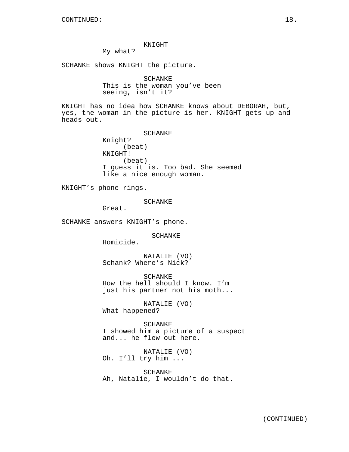### KNIGHT

My what?

SCHANKE shows KNIGHT the picture.

SCHANKE This is the woman you've been seeing, isn't it?

KNIGHT has no idea how SCHANKE knows about DEBORAH, but, yes, the woman in the picture is her. KNIGHT gets up and heads out.

> SCHANKE Knight? (beat) KNIGHT! (beat) I guess it is. Too bad. She seemed like a nice enough woman.

KNIGHT's phone rings.

SCHANKE

Great.

SCHANKE answers KNIGHT's phone.

SCHANKE

Homicide.

NATALIE (VO) Schank? Where's Nick?

SCHANKE How the hell should I know. I'm just his partner not his moth...

NATALIE (VO) What happened?

SCHANKE I showed him a picture of a suspect and... he flew out here.

NATALIE (VO) Oh. I'll try him ...

SCHANKE Ah, Natalie, I wouldn't do that.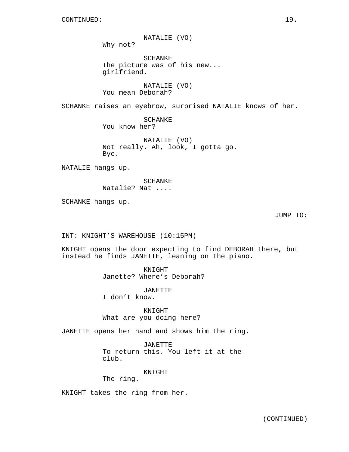NATALIE (VO)

Why not?

SCHANKE The picture was of his new... girlfriend.

NATALIE (VO) You mean Deborah?

SCHANKE raises an eyebrow, surprised NATALIE knows of her.

SCHANKE You know her?

NATALIE (VO) Not really. Ah, look, I gotta go. Bye.

NATALIE hangs up.

SCHANKE Natalie? Nat ....

SCHANKE hangs up.

JUMP TO:

INT: KNIGHT'S WAREHOUSE (10:15PM)

KNIGHT opens the door expecting to find DEBORAH there, but instead he finds JANETTE, leaning on the piano.

> KNIGHT Janette? Where's Deborah?

> > JANETTE

I don't know.

KNIGHT What are you doing here?

JANETTE opens her hand and shows him the ring.

JANETTE To return this. You left it at the club.

KNIGHT

The ring.

KNIGHT takes the ring from her.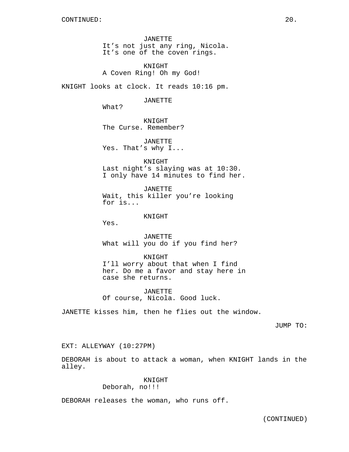JANETTE It's not just any ring, Nicola. It's one of the coven rings.

KNIGHT A Coven Ring! Oh my God!

KNIGHT looks at clock. It reads 10:16 pm.

JANETTE

What?

KNIGHT The Curse. Remember?

JANETTE Yes. That's why I...

KNIGHT Last night's slaying was at 10:30. I only have 14 minutes to find her.

JANETTE Wait, this killer you're looking for is...

KNIGHT

Yes.

JANETTE What will you do if you find her?

KNIGHT I'll worry about that when I find her. Do me a favor and stay here in case she returns.

JANETTE Of course, Nicola. Good luck.

JANETTE kisses him, then he flies out the window.

JUMP TO:

EXT: ALLEYWAY (10:27PM)

DEBORAH is about to attack a woman, when KNIGHT lands in the alley.

> KNIGHT Deborah, no!!!

DEBORAH releases the woman, who runs off.

(CONTINUED)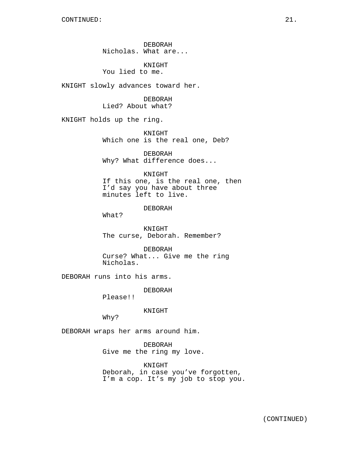DEBORAH Nicholas. What are...

KNIGHT You lied to me.

KNIGHT slowly advances toward her.

DEBORAH Lied? About what?

KNIGHT holds up the ring.

KNIGHT Which one is the real one, Deb?

DEBORAH Why? What difference does...

KNIGHT

If this one, is the real one, then I'd say you have about three minutes left to live.

DEBORAH

What?

KNIGHT The curse, Deborah. Remember?

DEBORAH Curse? What... Give me the ring Nicholas.

DEBORAH runs into his arms.

DEBORAH

Please!!

KNIGHT

Why?

DEBORAH wraps her arms around him.

DEBORAH Give me the ring my love.

KNIGHT Deborah, in case you've forgotten, I'm a cop. It's my job to stop you.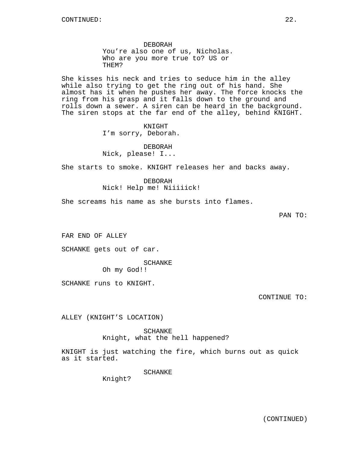DEBORAH You're also one of us, Nicholas. Who are you more true to? US or THEM?

She kisses his neck and tries to seduce him in the alley while also trying to get the ring out of his hand. She almost has it when he pushes her away. The force knocks the ring from his grasp and it falls down to the ground and rolls down a sewer. A siren can be heard in the background. The siren stops at the far end of the alley, behind KNIGHT.

> KNIGHT I'm sorry, Deborah.

DEBORAH Nick, please! I...

She starts to smoke. KNIGHT releases her and backs away.

DEBORAH Nick! Help me! Niiiiick!

She screams his name as she bursts into flames.

PAN TO:

FAR END OF ALLEY

SCHANKE gets out of car.

SCHANKE

Oh my God!!

SCHANKE runs to KNIGHT.

CONTINUE TO:

ALLEY (KNIGHT'S LOCATION)

SCHANKE Knight, what the hell happened?

KNIGHT is just watching the fire, which burns out as quick as it started.

SCHANKE

Knight?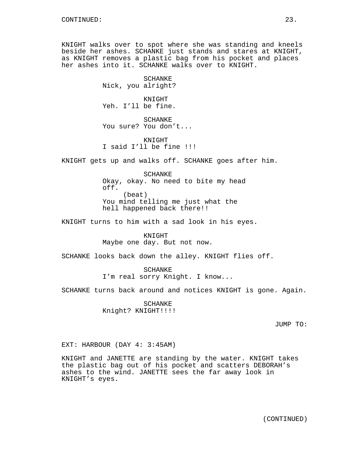KNIGHT walks over to spot where she was standing and kneels beside her ashes. SCHANKE just stands and stares at KNIGHT, as KNIGHT removes a plastic bag from his pocket and places her ashes into it. SCHANKE walks over to KNIGHT.

> **SCHANKE** Nick, you alright?

> KNIGHT Yeh. I'll be fine.

SCHANKE You sure? You don't...

KNIGHT I said I'll be fine !!!

KNIGHT gets up and walks off. SCHANKE goes after him.

SCHANKE Okay, okay. No need to bite my head off. (beat) You mind telling me just what the hell happened back there!!

KNIGHT turns to him with a sad look in his eyes.

KNIGHT Maybe one day. But not now.

SCHANKE looks back down the alley. KNIGHT flies off.

SCHANKE I'm real sorry Knight. I know...

SCHANKE turns back around and notices KNIGHT is gone. Again.

SCHANKE Knight? KNIGHT!!!!

JUMP TO:

EXT: HARBOUR (DAY 4: 3:45AM)

KNIGHT and JANETTE are standing by the water. KNIGHT takes the plastic bag out of his pocket and scatters DEBORAH's ashes to the wind. JANETTE sees the far away look in KNIGHT's eyes.